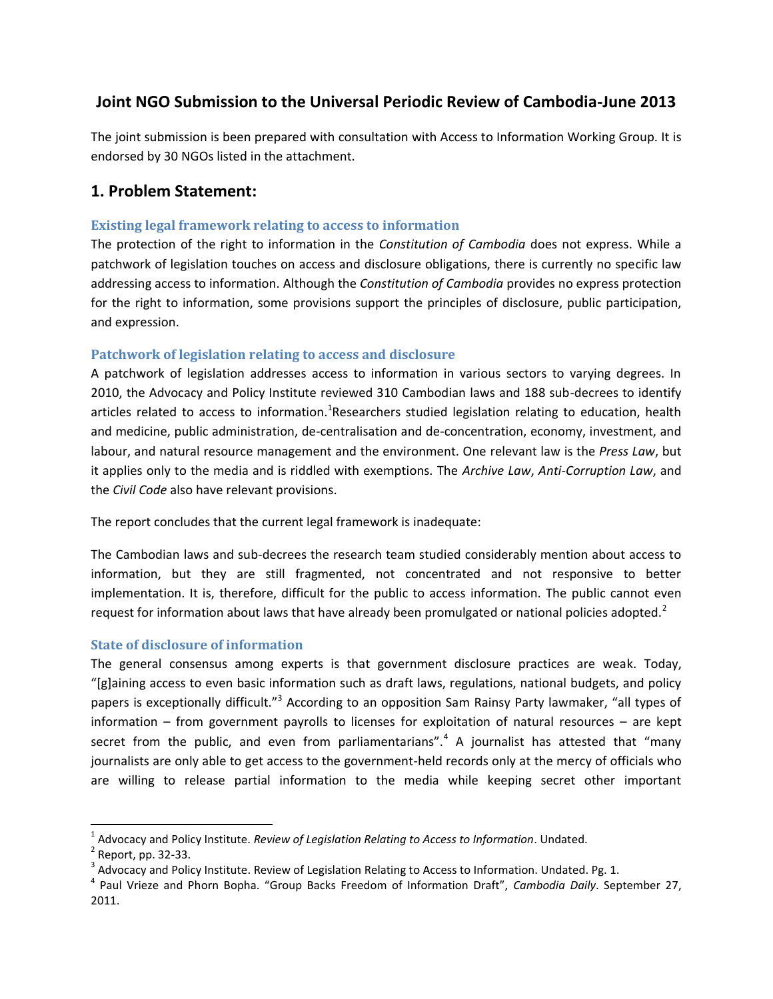# **Joint NGO Submission to the Universal Periodic Review of Cambodia-June 2013**

The joint submission is been prepared with consultation with Access to Information Working Group. It is endorsed by 30 NGOs listed in the attachment.

# **1. Problem Statement:**

# **Existing legal framework relating to access to information**

The protection of the right to information in the *Constitution of Cambodia* does not express. While a patchwork of legislation touches on access and disclosure obligations, there is currently no specific law addressing access to information. Although the *Constitution of Cambodia* provides no express protection for the right to information, some provisions support the principles of disclosure, public participation, and expression.

# **Patchwork of legislation relating to access and disclosure**

A patchwork of legislation addresses access to information in various sectors to varying degrees. In 2010, the Advocacy and Policy Institute reviewed 310 Cambodian laws and 188 sub-decrees to identify articles related to access to information.<sup>1</sup>Researchers studied legislation relating to education, health and medicine, public administration, de-centralisation and de-concentration, economy, investment, and labour, and natural resource management and the environment. One relevant law is the *Press Law*, but it applies only to the media and is riddled with exemptions. The *Archive Law*, *Anti-Corruption Law*, and the *Civil Code* also have relevant provisions.

The report concludes that the current legal framework is inadequate:

The Cambodian laws and sub-decrees the research team studied considerably mention about access to information, but they are still fragmented, not concentrated and not responsive to better implementation. It is, therefore, difficult for the public to access information. The public cannot even request for information about laws that have already been promulgated or national policies adopted.<sup>2</sup>

# **State of disclosure of information**

The general consensus among experts is that government disclosure practices are weak. Today, "[g]aining access to even basic information such as draft laws, regulations, national budgets, and policy papers is exceptionally difficult."<sup>3</sup> According to an opposition Sam Rainsy Party lawmaker, "all types of information – from government payrolls to licenses for exploitation of natural resources – are kept secret from the public, and even from parliamentarians".<sup>4</sup> A journalist has attested that "many journalists are only able to get access to the government-held records only at the mercy of officials who are willing to release partial information to the media while keeping secret other important

 $\overline{\phantom{a}}$ 

<sup>1</sup> Advocacy and Policy Institute. *Review of Legislation Relating to Access to Information*. Undated.

<sup>&</sup>lt;sup>2</sup> Report, pp. 32-33.

 $^3$  Advocacy and Policy Institute. Review of Legislation Relating to Access to Information. Undated. Pg. 1.

<sup>4</sup> Paul Vrieze and Phorn Bopha. "Group Backs Freedom of Information Draft", *Cambodia Daily*. September 27, 2011.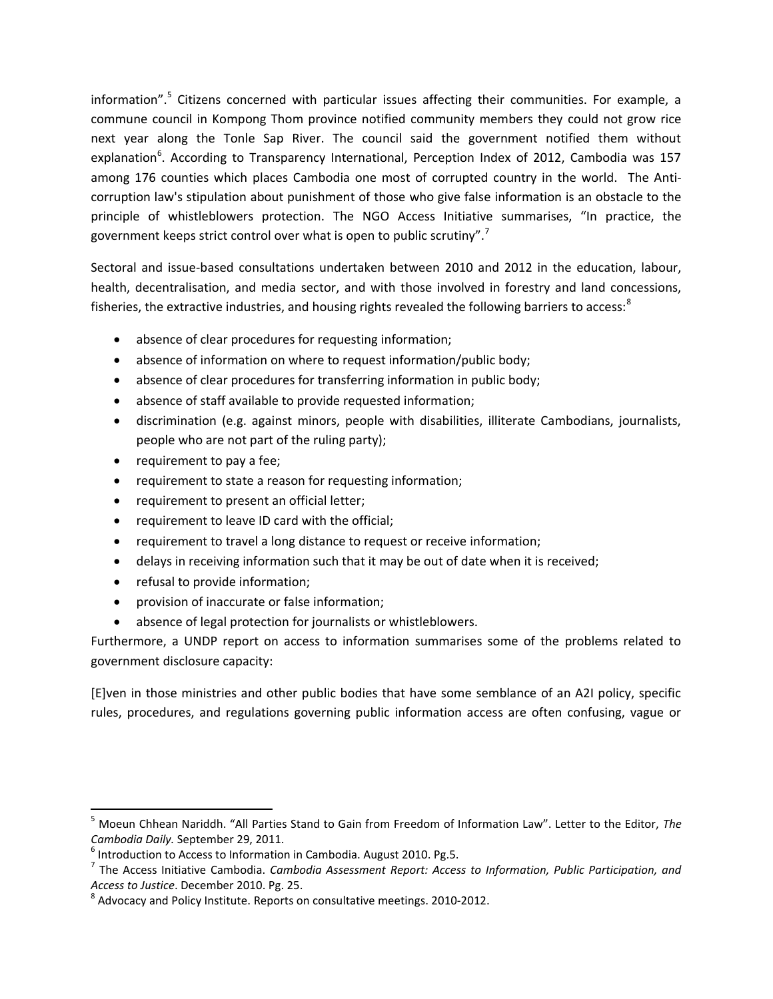information".<sup>5</sup> Citizens concerned with particular issues affecting their communities. For example, a commune council in Kompong Thom province notified community members they could not grow rice next year along the Tonle Sap River. The council said the government notified them without explanation<sup>6</sup>. According to Transparency International, Perception Index of 2012, Cambodia was 157 among 176 counties which places Cambodia one most of corrupted country in the world. The Anticorruption law's stipulation about punishment of those who give false information is an obstacle to the principle of whistleblowers protection. The NGO Access Initiative summarises, "In practice, the government keeps strict control over what is open to public scrutiny".<sup>7</sup>

Sectoral and issue-based consultations undertaken between 2010 and 2012 in the education, labour, health, decentralisation, and media sector, and with those involved in forestry and land concessions, fisheries, the extractive industries, and housing rights revealed the following barriers to access: $8$ 

- absence of clear procedures for requesting information;
- absence of information on where to request information/public body;
- absence of clear procedures for transferring information in public body;
- absence of staff available to provide requested information;
- discrimination (e.g. against minors, people with disabilities, illiterate Cambodians, journalists, people who are not part of the ruling party);
- requirement to pay a fee;
- requirement to state a reason for requesting information;
- requirement to present an official letter;
- requirement to leave ID card with the official;
- requirement to travel a long distance to request or receive information;
- delays in receiving information such that it may be out of date when it is received;
- refusal to provide information;

l

- provision of inaccurate or false information;
- absence of legal protection for journalists or whistleblowers.

Furthermore, a UNDP report on access to information summarises some of the problems related to government disclosure capacity:

[E]ven in those ministries and other public bodies that have some semblance of an A2I policy, specific rules, procedures, and regulations governing public information access are often confusing, vague or

<sup>5</sup> Moeun Chhean Nariddh. "All Parties Stand to Gain from Freedom of Information Law". Letter to the Editor, *The Cambodia Daily.* September 29, 2011.

 $<sup>6</sup>$  Introduction to Access to Information in Cambodia. August 2010. Pg.5.</sup>

<sup>7</sup> The Access Initiative Cambodia. *Cambodia Assessment Report: Access to Information, Public Participation, and Access to Justice*. December 2010. Pg. 25.

 $^8$  Advocacy and Policy Institute. Reports on consultative meetings. 2010-2012.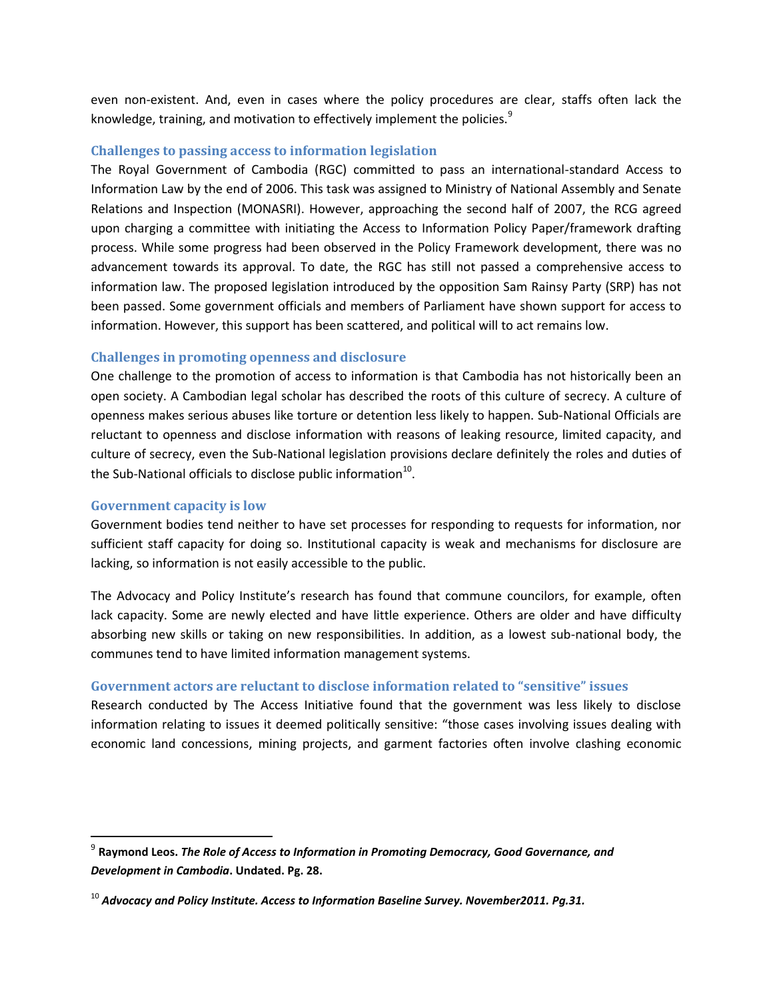even non-existent. And, even in cases where the policy procedures are clear, staffs often lack the knowledge, training, and motivation to effectively implement the policies.<sup>9</sup>

#### **Challenges to passing access to information legislation**

The Royal Government of Cambodia (RGC) committed to pass an international-standard Access to Information Law by the end of 2006. This task was assigned to Ministry of National Assembly and Senate Relations and Inspection (MONASRI). However, approaching the second half of 2007, the RCG agreed upon charging a committee with initiating the Access to Information Policy Paper/framework drafting process. While some progress had been observed in the Policy Framework development, there was no advancement towards its approval. To date, the RGC has still not passed a comprehensive access to information law. The proposed legislation introduced by the opposition Sam Rainsy Party (SRP) has not been passed. Some government officials and members of Parliament have shown support for access to information. However, this support has been scattered, and political will to act remains low.

### **Challenges in promoting openness and disclosure**

One challenge to the promotion of access to information is that Cambodia has not historically been an open society. A Cambodian legal scholar has described the roots of this culture of secrecy. A culture of openness makes serious abuses like torture or detention less likely to happen. Sub-National Officials are reluctant to openness and disclose information with reasons of leaking resource, limited capacity, and culture of secrecy, even the Sub-National legislation provisions declare definitely the roles and duties of the Sub-National officials to disclose public information $^{10}$ .

#### **Government capacity is low**

l

Government bodies tend neither to have set processes for responding to requests for information, nor sufficient staff capacity for doing so. Institutional capacity is weak and mechanisms for disclosure are lacking, so information is not easily accessible to the public.

The Advocacy and Policy Institute's research has found that commune councilors, for example, often lack capacity. Some are newly elected and have little experience. Others are older and have difficulty absorbing new skills or taking on new responsibilities. In addition, as a lowest sub-national body, the communes tend to have limited information management systems.

### **Government actors are reluctant to disclose information related to "sensitive" issues**

Research conducted by The Access Initiative found that the government was less likely to disclose information relating to issues it deemed politically sensitive: "those cases involving issues dealing with economic land concessions, mining projects, and garment factories often involve clashing economic

<sup>9</sup> **Raymond Leos.** *The Role of Access to Information in Promoting Democracy, Good Governance, and Development in Cambodia***. Undated. Pg. 28.**

<sup>10</sup> *Advocacy and Policy Institute. Access to Information Baseline Survey. November2011. Pg.31.*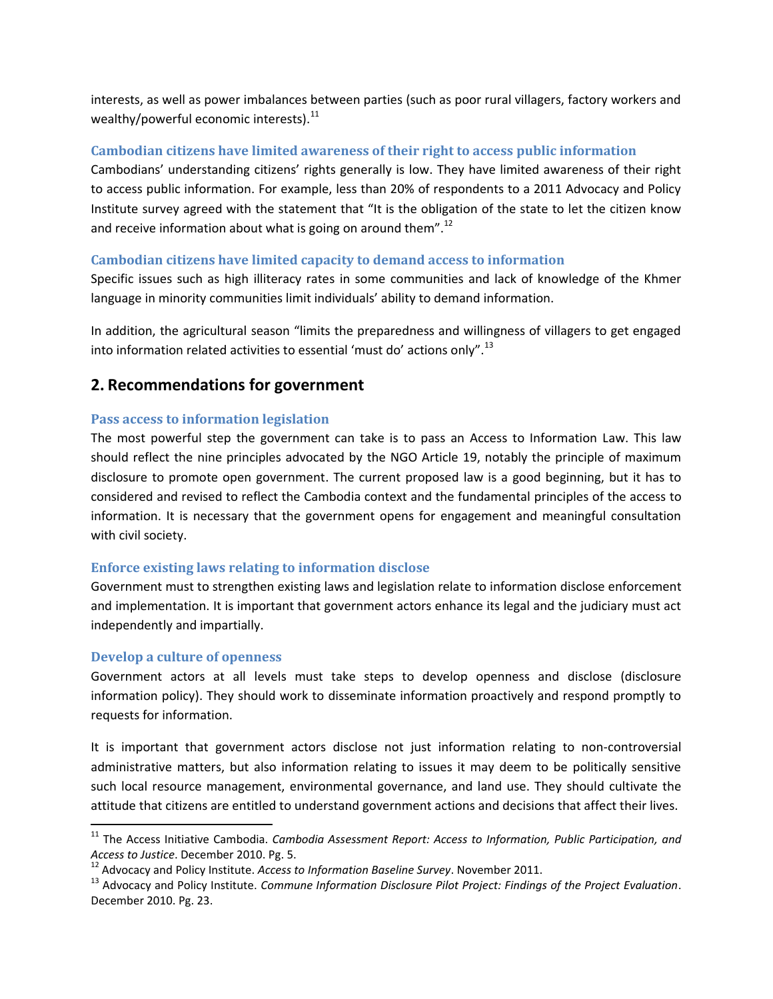interests, as well as power imbalances between parties (such as poor rural villagers, factory workers and wealthy/powerful economic interests). $^{11}$ 

## **Cambodian citizens have limited awareness of their right to access public information**

Cambodians' understanding citizens' rights generally is low. They have limited awareness of their right to access public information. For example, less than 20% of respondents to a 2011 Advocacy and Policy Institute survey agreed with the statement that "It is the obligation of the state to let the citizen know and receive information about what is going on around them".<sup>12</sup>

# **Cambodian citizens have limited capacity to demand access to information**

Specific issues such as high illiteracy rates in some communities and lack of knowledge of the Khmer language in minority communities limit individuals' ability to demand information.

In addition, the agricultural season "limits the preparedness and willingness of villagers to get engaged into information related activities to essential 'must do' actions only".<sup>13</sup>

# **2. Recommendations for government**

## **Pass access to information legislation**

The most powerful step the government can take is to pass an Access to Information Law. This law should reflect the nine principles advocated by the NGO Article 19, notably the principle of maximum disclosure to promote open government. The current proposed law is a good beginning, but it has to considered and revised to reflect the Cambodia context and the fundamental principles of the access to information. It is necessary that the government opens for engagement and meaningful consultation with civil society.

### **Enforce existing laws relating to information disclose**

Government must to strengthen existing laws and legislation relate to information disclose enforcement and implementation. It is important that government actors enhance its legal and the judiciary must act independently and impartially.

### **Develop a culture of openness**

 $\overline{\phantom{a}}$ 

Government actors at all levels must take steps to develop openness and disclose (disclosure information policy). They should work to disseminate information proactively and respond promptly to requests for information.

It is important that government actors disclose not just information relating to non-controversial administrative matters, but also information relating to issues it may deem to be politically sensitive such local resource management, environmental governance, and land use. They should cultivate the attitude that citizens are entitled to understand government actions and decisions that affect their lives.

<sup>11</sup> The Access Initiative Cambodia. *Cambodia Assessment Report: Access to Information, Public Participation, and Access to Justice*. December 2010. Pg. 5.

<sup>12</sup> Advocacy and Policy Institute. *Access to Information Baseline Survey*. November 2011.

<sup>13</sup> Advocacy and Policy Institute. *Commune Information Disclosure Pilot Project: Findings of the Project Evaluation*. December 2010. Pg. 23.